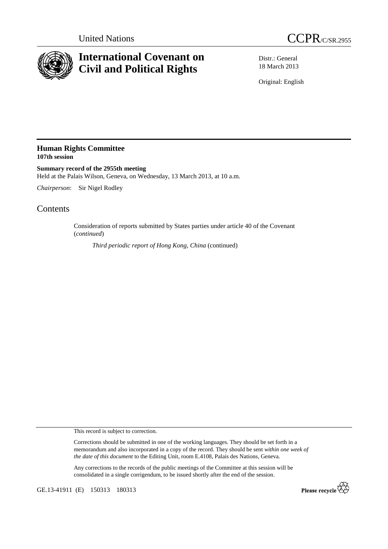



## **International Covenant on Civil and Political Rights**

Distr.: General 18 March 2013

Original: English

## **Human Rights Committee 107th session**

**Summary record of the 2955th meeting**  Held at the Palais Wilson, Geneva, on Wednesday, 13 March 2013, at 10 a.m.

*Chairperson*: Sir Nigel Rodley

## **Contents**

Consideration of reports submitted by States parties under article 40 of the Covenant (*continued*)

*Third periodic report of Hong Kong, China* (continued)

This record is subject to correction.

Corrections should be submitted in one of the working languages. They should be set forth in a memorandum and also incorporated in a copy of the record. They should be sent *within one week of the date of this document* to the Editing Unit, room E.4108, Palais des Nations, Geneva.

Any corrections to the records of the public meetings of the Committee at this session will be consolidated in a single corrigendum, to be issued shortly after the end of the session.

GE.13-41911 (E) 150313 180313

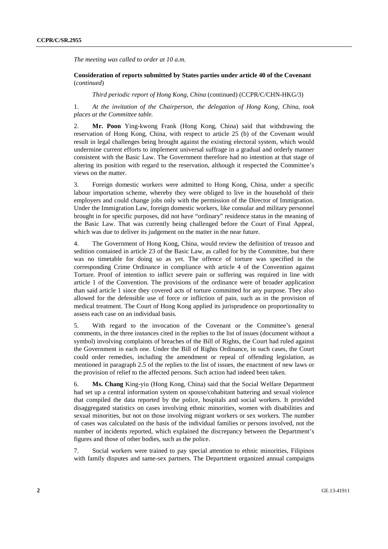*The meeting was called to order at 10 a.m.* 

## **Consideration of reports submitted by States parties under article 40 of the Covenant**  (*continued*)

*Third periodic report of Hong Kong, China* (continued) (CCPR/C/CHN-HKG/3)

1. *At the invitation of the Chairperson, the delegation of Hong Kong, China, took places at the Committee table.* 

2. **Mr. Poon** Ying-kwong Frank (Hong Kong, China) said that withdrawing the reservation of Hong Kong, China, with respect to article 25 (b) of the Covenant would result in legal challenges being brought against the existing electoral system, which would undermine current efforts to implement universal suffrage in a gradual and orderly manner consistent with the Basic Law. The Government therefore had no intention at that stage of altering its position with regard to the reservation, although it respected the Committee's views on the matter.

3. Foreign domestic workers were admitted to Hong Kong, China, under a specific labour importation scheme, whereby they were obliged to live in the household of their employers and could change jobs only with the permission of the Director of Immigration. Under the Immigration Law, foreign domestic workers, like consular and military personnel brought in for specific purposes, did not have "ordinary" residence status in the meaning of the Basic Law. That was currently being challenged before the Court of Final Appeal, which was due to deliver its judgement on the matter in the near future.

4. The Government of Hong Kong, China, would review the definition of treason and sedition contained in article 23 of the Basic Law, as called for by the Committee, but there was no timetable for doing so as yet. The offence of torture was specified in the corresponding Crime Ordinance in compliance with article 4 of the Convention against Torture. Proof of intention to inflict severe pain or suffering was required in line with article 1 of the Convention. The provisions of the ordinance were of broader application than said article 1 since they covered acts of torture committed for any purpose. They also allowed for the defensible use of force or infliction of pain, such as in the provision of medical treatment. The Court of Hong Kong applied its jurisprudence on proportionality to assess each case on an individual basis.

5. With regard to the invocation of the Covenant or the Committee's general comments, in the three instances cited in the replies to the list of issues (document without a symbol) involving complaints of breaches of the Bill of Rights, the Court had ruled against the Government in each one. Under the Bill of Rights Ordinance, in such cases, the Court could order remedies, including the amendment or repeal of offending legislation, as mentioned in paragraph 2.5 of the replies to the list of issues, the enactment of new laws or the provision of relief to the affected persons. Such action had indeed been taken.

6. **Ms. Chang** King-yiu (Hong Kong, China) said that the Social Welfare Department had set up a central information system on spouse/cohabitant battering and sexual violence that compiled the data reported by the police, hospitals and social workers. It provided disaggregated statistics on cases involving ethnic minorities, women with disabilities and sexual minorities, but not on those involving migrant workers or sex workers. The number of cases was calculated on the basis of the individual families or persons involved, not the number of incidents reported, which explained the discrepancy between the Department's figures and those of other bodies, such as the police.

7. Social workers were trained to pay special attention to ethnic minorities, Filipinos with family disputes and same-sex partners. The Department organized annual campaigns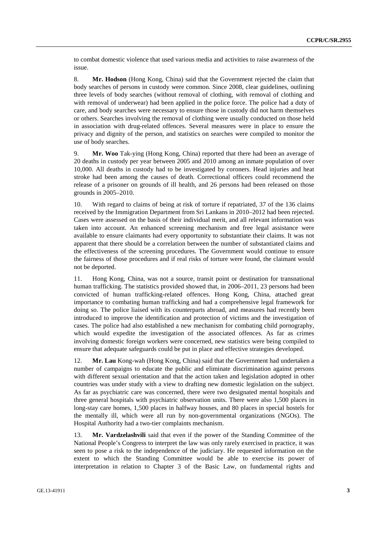to combat domestic violence that used various media and activities to raise awareness of the issue.

8. **Mr. Hodson** (Hong Kong, China) said that the Government rejected the claim that body searches of persons in custody were common. Since 2008, clear guidelines, outlining three levels of body searches (without removal of clothing, with removal of clothing and with removal of underwear) had been applied in the police force. The police had a duty of care, and body searches were necessary to ensure those in custody did not harm themselves or others. Searches involving the removal of clothing were usually conducted on those held in association with drug-related offences. Several measures were in place to ensure the privacy and dignity of the person, and statistics on searches were compiled to monitor the use of body searches.

9. **Mr. Woo** Tak-ying (Hong Kong, China) reported that there had been an average of 20 deaths in custody per year between 2005 and 2010 among an inmate population of over 10,000. All deaths in custody had to be investigated by coroners. Head injuries and heat stroke had been among the causes of death. Correctional officers could recommend the release of a prisoner on grounds of ill health, and 26 persons had been released on those grounds in 2005–2010.

10. With regard to claims of being at risk of torture if repatriated, 37 of the 136 claims received by the Immigration Department from Sri Lankans in 2010–2012 had been rejected. Cases were assessed on the basis of their individual merit, and all relevant information was taken into account. An enhanced screening mechanism and free legal assistance were available to ensure claimants had every opportunity to substantiate their claims. It was not apparent that there should be a correlation between the number of substantiated claims and the effectiveness of the screening procedures. The Government would continue to ensure the fairness of those procedures and if real risks of torture were found, the claimant would not be deported.

11. Hong Kong, China, was not a source, transit point or destination for transnational human trafficking. The statistics provided showed that, in 2006–2011, 23 persons had been convicted of human trafficking-related offences. Hong Kong, China, attached great importance to combating human trafficking and had a comprehensive legal framework for doing so. The police liaised with its counterparts abroad, and measures had recently been introduced to improve the identification and protection of victims and the investigation of cases. The police had also established a new mechanism for combating child pornography, which would expedite the investigation of the associated offences. As far as crimes involving domestic foreign workers were concerned, new statistics were being compiled to ensure that adequate safeguards could be put in place and effective strategies developed.

12. **Mr. Lau** Kong-wah (Hong Kong, China) said that the Government had undertaken a number of campaigns to educate the public and eliminate discrimination against persons with different sexual orientation and that the action taken and legislation adopted in other countries was under study with a view to drafting new domestic legislation on the subject. As far as psychiatric care was concerned, there were two designated mental hospitals and three general hospitals with psychiatric observation units. There were also 1,500 places in long-stay care homes, 1,500 places in halfway houses, and 80 places in special hostels for the mentally ill, which were all run by non-governmental organizations (NGOs). The Hospital Authority had a two-tier complaints mechanism.

13. **Mr. Vardzelashvili** said that even if the power of the Standing Committee of the National People's Congress to interpret the law was only rarely exercised in practice, it was seen to pose a risk to the independence of the judiciary. He requested information on the extent to which the Standing Committee would be able to exercise its power of interpretation in relation to Chapter 3 of the Basic Law, on fundamental rights and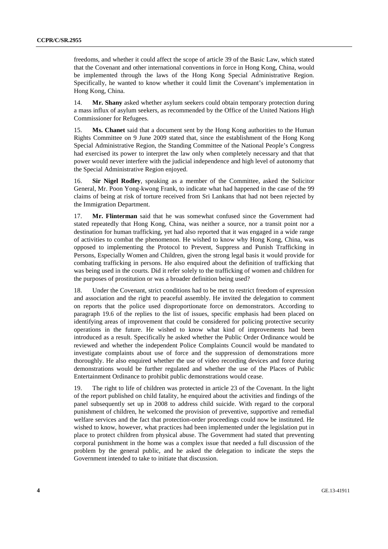freedoms, and whether it could affect the scope of article 39 of the Basic Law, which stated that the Covenant and other international conventions in force in Hong Kong, China, would be implemented through the laws of the Hong Kong Special Administrative Region. Specifically, he wanted to know whether it could limit the Covenant's implementation in Hong Kong, China.

14. **Mr. Shany** asked whether asylum seekers could obtain temporary protection during a mass influx of asylum seekers, as recommended by the Office of the United Nations High Commissioner for Refugees.

15. **Ms. Chanet** said that a document sent by the Hong Kong authorities to the Human Rights Committee on 9 June 2009 stated that, since the establishment of the Hong Kong Special Administrative Region, the Standing Committee of the National People's Congress had exercised its power to interpret the law only when completely necessary and that that power would never interfere with the judicial independence and high level of autonomy that the Special Administrative Region enjoyed.

16. **Sir Nigel Rodley**, speaking as a member of the Committee, asked the Solicitor General, Mr. Poon Yong-kwong Frank, to indicate what had happened in the case of the 99 claims of being at risk of torture received from Sri Lankans that had not been rejected by the Immigration Department.

17. **Mr. Flinterman** said that he was somewhat confused since the Government had stated repeatedly that Hong Kong, China, was neither a source, nor a transit point nor a destination for human trafficking, yet had also reported that it was engaged in a wide range of activities to combat the phenomenon. He wished to know why Hong Kong, China, was opposed to implementing the Protocol to Prevent, Suppress and Punish Trafficking in Persons, Especially Women and Children, given the strong legal basis it would provide for combating trafficking in persons. He also enquired about the definition of trafficking that was being used in the courts. Did it refer solely to the trafficking of women and children for the purposes of prostitution or was a broader definition being used?

18. Under the Covenant, strict conditions had to be met to restrict freedom of expression and association and the right to peaceful assembly. He invited the delegation to comment on reports that the police used disproportionate force on demonstrators. According to paragraph 19.6 of the replies to the list of issues, specific emphasis had been placed on identifying areas of improvement that could be considered for policing protective security operations in the future. He wished to know what kind of improvements had been introduced as a result. Specifically he asked whether the Public Order Ordinance would be reviewed and whether the independent Police Complaints Council would be mandated to investigate complaints about use of force and the suppression of demonstrations more thoroughly. He also enquired whether the use of video recording devices and force during demonstrations would be further regulated and whether the use of the Places of Public Entertainment Ordinance to prohibit public demonstrations would cease.

19. The right to life of children was protected in article 23 of the Covenant. In the light of the report published on child fatality, he enquired about the activities and findings of the panel subsequently set up in 2008 to address child suicide. With regard to the corporal punishment of children, he welcomed the provision of preventive, supportive and remedial welfare services and the fact that protection-order proceedings could now be instituted. He wished to know, however, what practices had been implemented under the legislation put in place to protect children from physical abuse. The Government had stated that preventing corporal punishment in the home was a complex issue that needed a full discussion of the problem by the general public, and he asked the delegation to indicate the steps the Government intended to take to initiate that discussion.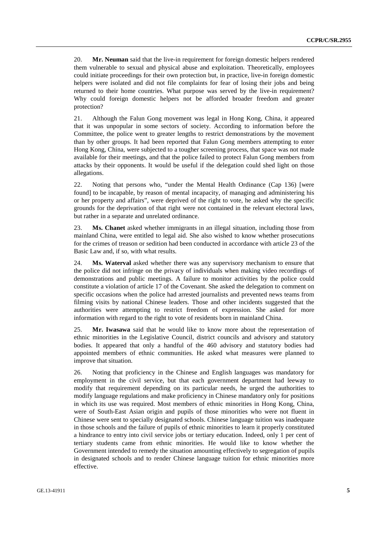20. **Mr. Neuman** said that the live-in requirement for foreign domestic helpers rendered them vulnerable to sexual and physical abuse and exploitation. Theoretically, employees could initiate proceedings for their own protection but, in practice, live-in foreign domestic helpers were isolated and did not file complaints for fear of losing their jobs and being returned to their home countries. What purpose was served by the live-in requirement? Why could foreign domestic helpers not be afforded broader freedom and greater protection?

21. Although the Falun Gong movement was legal in Hong Kong, China, it appeared that it was unpopular in some sectors of society. According to information before the Committee, the police went to greater lengths to restrict demonstrations by the movement than by other groups. It had been reported that Falun Gong members attempting to enter Hong Kong, China, were subjected to a tougher screening process, that space was not made available for their meetings, and that the police failed to protect Falun Gong members from attacks by their opponents. It would be useful if the delegation could shed light on those allegations.

22. Noting that persons who, "under the Mental Health Ordinance (Cap 136) [were found] to be incapable, by reason of mental incapacity, of managing and administering his or her property and affairs", were deprived of the right to vote, he asked why the specific grounds for the deprivation of that right were not contained in the relevant electoral laws, but rather in a separate and unrelated ordinance.

23. **Ms. Chanet** asked whether immigrants in an illegal situation, including those from mainland China, were entitled to legal aid. She also wished to know whether prosecutions for the crimes of treason or sedition had been conducted in accordance with article 23 of the Basic Law and, if so, with what results.

24. **Ms. Waterval** asked whether there was any supervisory mechanism to ensure that the police did not infringe on the privacy of individuals when making video recordings of demonstrations and public meetings. A failure to monitor activities by the police could constitute a violation of article 17 of the Covenant. She asked the delegation to comment on specific occasions when the police had arrested journalists and prevented news teams from filming visits by national Chinese leaders. Those and other incidents suggested that the authorities were attempting to restrict freedom of expression. She asked for more information with regard to the right to vote of residents born in mainland China.

25. **Mr. Iwasawa** said that he would like to know more about the representation of ethnic minorities in the Legislative Council, district councils and advisory and statutory bodies. It appeared that only a handful of the 460 advisory and statutory bodies had appointed members of ethnic communities. He asked what measures were planned to improve that situation.

26. Noting that proficiency in the Chinese and English languages was mandatory for employment in the civil service, but that each government department had leeway to modify that requirement depending on its particular needs, he urged the authorities to modify language regulations and make proficiency in Chinese mandatory only for positions in which its use was required. Most members of ethnic minorities in Hong Kong, China, were of South-East Asian origin and pupils of those minorities who were not fluent in Chinese were sent to specially designated schools. Chinese language tuition was inadequate in those schools and the failure of pupils of ethnic minorities to learn it properly constituted a hindrance to entry into civil service jobs or tertiary education. Indeed, only 1 per cent of tertiary students came from ethnic minorities. He would like to know whether the Government intended to remedy the situation amounting effectively to segregation of pupils in designated schools and to render Chinese language tuition for ethnic minorities more effective.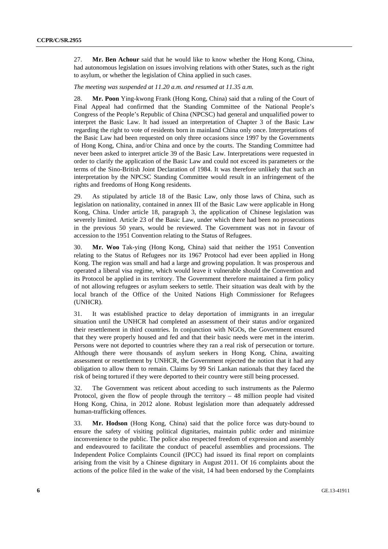27. **Mr. Ben Achour** said that he would like to know whether the Hong Kong, China, had autonomous legislation on issues involving relations with other States, such as the right to asylum, or whether the legislation of China applied in such cases.

*The meeting was suspended at 11.20 a.m. and resumed at 11.35 a.m.* 

28. **Mr. Poon** Ying-kwong Frank (Hong Kong, China) said that a ruling of the Court of Final Appeal had confirmed that the Standing Committee of the National People's Congress of the People's Republic of China (NPCSC) had general and unqualified power to interpret the Basic Law. It had issued an interpretation of Chapter 3 of the Basic Law regarding the right to vote of residents born in mainland China only once. Interpretations of the Basic Law had been requested on only three occasions since 1997 by the Governments of Hong Kong, China, and/or China and once by the courts. The Standing Committee had never been asked to interpret article 39 of the Basic Law. Interpretations were requested in order to clarify the application of the Basic Law and could not exceed its parameters or the terms of the Sino-British Joint Declaration of 1984. It was therefore unlikely that such an interpretation by the NPCSC Standing Committee would result in an infringement of the rights and freedoms of Hong Kong residents.

29. As stipulated by article 18 of the Basic Law, only those laws of China, such as legislation on nationality, contained in annex III of the Basic Law were applicable in Hong Kong, China. Under article 18, paragraph 3, the application of Chinese legislation was severely limited. Article 23 of the Basic Law, under which there had been no prosecutions in the previous 50 years, would be reviewed. The Government was not in favour of accession to the 1951 Convention relating to the Status of Refugees.

30. **Mr. Woo** Tak-ying (Hong Kong, China) said that neither the 1951 Convention relating to the Status of Refugees nor its 1967 Protocol had ever been applied in Hong Kong. The region was small and had a large and growing population. It was prosperous and operated a liberal visa regime, which would leave it vulnerable should the Convention and its Protocol be applied in its territory. The Government therefore maintained a firm policy of not allowing refugees or asylum seekers to settle. Their situation was dealt with by the local branch of the Office of the United Nations High Commissioner for Refugees (UNHCR).

31. It was established practice to delay deportation of immigrants in an irregular situation until the UNHCR had completed an assessment of their status and/or organized their resettlement in third countries. In conjunction with NGOs, the Government ensured that they were properly housed and fed and that their basic needs were met in the interim. Persons were not deported to countries where they ran a real risk of persecution or torture. Although there were thousands of asylum seekers in Hong Kong, China, awaiting assessment or resettlement by UNHCR, the Government rejected the notion that it had any obligation to allow them to remain. Claims by 99 Sri Lankan nationals that they faced the risk of being tortured if they were deported to their country were still being processed.

32. The Government was reticent about acceding to such instruments as the Palermo Protocol, given the flow of people through the territory  $-48$  million people had visited Hong Kong, China, in 2012 alone. Robust legislation more than adequately addressed human-trafficking offences.

33. **Mr. Hodson** (Hong Kong, China) said that the police force was duty-bound to ensure the safety of visiting political dignitaries, maintain public order and minimize inconvenience to the public. The police also respected freedom of expression and assembly and endeavoured to facilitate the conduct of peaceful assemblies and processions. The Independent Police Complaints Council (IPCC) had issued its final report on complaints arising from the visit by a Chinese dignitary in August 2011. Of 16 complaints about the actions of the police filed in the wake of the visit, 14 had been endorsed by the Complaints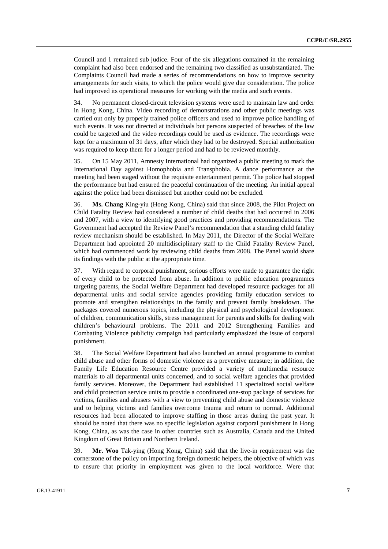Council and 1 remained sub judice. Four of the six allegations contained in the remaining complaint had also been endorsed and the remaining two classified as unsubstantiated. The Complaints Council had made a series of recommendations on how to improve security arrangements for such visits, to which the police would give due consideration. The police had improved its operational measures for working with the media and such events.

34. No permanent closed-circuit television systems were used to maintain law and order in Hong Kong, China. Video recording of demonstrations and other public meetings was carried out only by properly trained police officers and used to improve police handling of such events. It was not directed at individuals but persons suspected of breaches of the law could be targeted and the video recordings could be used as evidence. The recordings were kept for a maximum of 31 days, after which they had to be destroyed. Special authorization was required to keep them for a longer period and had to be reviewed monthly.

35. On 15 May 2011, Amnesty International had organized a public meeting to mark the International Day against Homophobia and Transphobia. A dance performance at the meeting had been staged without the requisite entertainment permit. The police had stopped the performance but had ensured the peaceful continuation of the meeting. An initial appeal against the police had been dismissed but another could not be excluded.

36. **Ms. Chang** King-yiu (Hong Kong, China) said that since 2008, the Pilot Project on Child Fatality Review had considered a number of child deaths that had occurred in 2006 and 2007, with a view to identifying good practices and providing recommendations. The Government had accepted the Review Panel's recommendation that a standing child fatality review mechanism should be established. In May 2011, the Director of the Social Welfare Department had appointed 20 multidisciplinary staff to the Child Fatality Review Panel, which had commenced work by reviewing child deaths from 2008. The Panel would share its findings with the public at the appropriate time.

37. With regard to corporal punishment, serious efforts were made to guarantee the right of every child to be protected from abuse. In addition to public education programmes targeting parents, the Social Welfare Department had developed resource packages for all departmental units and social service agencies providing family education services to promote and strengthen relationships in the family and prevent family breakdown. The packages covered numerous topics, including the physical and psychological development of children, communication skills, stress management for parents and skills for dealing with children's behavioural problems. The 2011 and 2012 Strengthening Families and Combating Violence publicity campaign had particularly emphasized the issue of corporal punishment.

38. The Social Welfare Department had also launched an annual programme to combat child abuse and other forms of domestic violence as a preventive measure; in addition, the Family Life Education Resource Centre provided a variety of multimedia resource materials to all departmental units concerned, and to social welfare agencies that provided family services. Moreover, the Department had established 11 specialized social welfare and child protection service units to provide a coordinated one-stop package of services for victims, families and abusers with a view to preventing child abuse and domestic violence and to helping victims and families overcome trauma and return to normal. Additional resources had been allocated to improve staffing in those areas during the past year. It should be noted that there was no specific legislation against corporal punishment in Hong Kong, China, as was the case in other countries such as Australia, Canada and the United Kingdom of Great Britain and Northern Ireland.

39. **Mr. Woo** Tak-ying (Hong Kong, China) said that the live-in requirement was the cornerstone of the policy on importing foreign domestic helpers, the objective of which was to ensure that priority in employment was given to the local workforce. Were that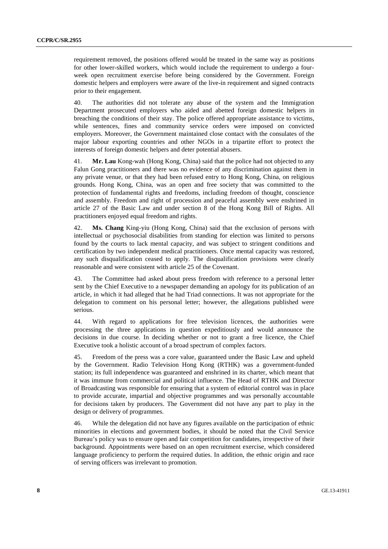requirement removed, the positions offered would be treated in the same way as positions for other lower-skilled workers, which would include the requirement to undergo a fourweek open recruitment exercise before being considered by the Government. Foreign domestic helpers and employers were aware of the live-in requirement and signed contracts prior to their engagement.

40. The authorities did not tolerate any abuse of the system and the Immigration Department prosecuted employers who aided and abetted foreign domestic helpers in breaching the conditions of their stay. The police offered appropriate assistance to victims, while sentences, fines and community service orders were imposed on convicted employers. Moreover, the Government maintained close contact with the consulates of the major labour exporting countries and other NGOs in a tripartite effort to protect the interests of foreign domestic helpers and deter potential abusers.

41. **Mr. Lau** Kong-wah (Hong Kong, China) said that the police had not objected to any Falun Gong practitioners and there was no evidence of any discrimination against them in any private venue, or that they had been refused entry to Hong Kong, China, on religious grounds. Hong Kong, China, was an open and free society that was committed to the protection of fundamental rights and freedoms, including freedom of thought, conscience and assembly. Freedom and right of procession and peaceful assembly were enshrined in article 27 of the Basic Law and under section 8 of the Hong Kong Bill of Rights. All practitioners enjoyed equal freedom and rights.

42. **Ms. Chang** King-yiu (Hong Kong, China) said that the exclusion of persons with intellectual or psychosocial disabilities from standing for election was limited to persons found by the courts to lack mental capacity, and was subject to stringent conditions and certification by two independent medical practitioners. Once mental capacity was restored, any such disqualification ceased to apply. The disqualification provisions were clearly reasonable and were consistent with article 25 of the Covenant.

43. The Committee had asked about press freedom with reference to a personal letter sent by the Chief Executive to a newspaper demanding an apology for its publication of an article, in which it had alleged that he had Triad connections. It was not appropriate for the delegation to comment on his personal letter; however, the allegations published were serious.

44. With regard to applications for free television licences, the authorities were processing the three applications in question expeditiously and would announce the decisions in due course. In deciding whether or not to grant a free licence, the Chief Executive took a holistic account of a broad spectrum of complex factors.

45. Freedom of the press was a core value, guaranteed under the Basic Law and upheld by the Government. Radio Television Hong Kong (RTHK) was a government-funded station; its full independence was guaranteed and enshrined in its charter, which meant that it was immune from commercial and political influence. The Head of RTHK and Director of Broadcasting was responsible for ensuring that a system of editorial control was in place to provide accurate, impartial and objective programmes and was personally accountable for decisions taken by producers. The Government did not have any part to play in the design or delivery of programmes.

46. While the delegation did not have any figures available on the participation of ethnic minorities in elections and government bodies, it should be noted that the Civil Service Bureau's policy was to ensure open and fair competition for candidates, irrespective of their background. Appointments were based on an open recruitment exercise, which considered language proficiency to perform the required duties. In addition, the ethnic origin and race of serving officers was irrelevant to promotion.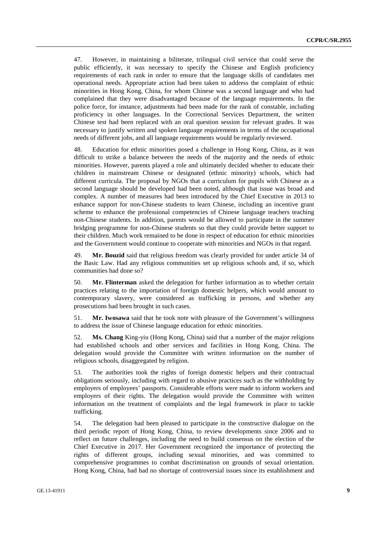47. However, in maintaining a biliterate, trilingual civil service that could serve the public efficiently, it was necessary to specify the Chinese and English proficiency requirements of each rank in order to ensure that the language skills of candidates met operational needs. Appropriate action had been taken to address the complaint of ethnic minorities in Hong Kong, China, for whom Chinese was a second language and who had complained that they were disadvantaged because of the language requirements. In the police force, for instance, adjustments had been made for the rank of constable, including proficiency in other languages. In the Correctional Services Department, the written Chinese test had been replaced with an oral question session for relevant grades. It was necessary to justify written and spoken language requirements in terms of the occupational needs of different jobs, and all language requirements would be regularly reviewed.

48. Education for ethnic minorities posed a challenge in Hong Kong, China, as it was difficult to strike a balance between the needs of the majority and the needs of ethnic minorities. However, parents played a role and ultimately decided whether to educate their children in mainstream Chinese or designated (ethnic minority) schools, which had different curricula. The proposal by NGOs that a curriculum for pupils with Chinese as a second language should be developed had been noted, although that issue was broad and complex. A number of measures had been introduced by the Chief Executive in 2013 to enhance support for non-Chinese students to learn Chinese, including an incentive grant scheme to enhance the professional competencies of Chinese language teachers teaching non-Chinese students. In addition, parents would be allowed to participate in the summer bridging programme for non-Chinese students so that they could provide better support to their children. Much work remained to be done in respect of education for ethnic minorities and the Government would continue to cooperate with minorities and NGOs in that regard.

49. **Mr. Bouzid** said that religious freedom was clearly provided for under article 34 of the Basic Law. Had any religious communities set up religious schools and, if so, which communities had done so?

50. **Mr. Flinterman** asked the delegation for further information as to whether certain practices relating to the importation of foreign domestic helpers, which would amount to contemporary slavery, were considered as trafficking in persons, and whether any prosecutions had been brought in such cases.

51. **Mr. Iwosawa** said that he took note with pleasure of the Government's willingness to address the issue of Chinese language education for ethnic minorities.

52. **Ms. Chang** King-yiu (Hong Kong, China) said that a number of the major religions had established schools and other services and facilities in Hong Kong, China. The delegation would provide the Committee with written information on the number of religious schools, disaggregated by religion.

53. The authorities took the rights of foreign domestic helpers and their contractual obligations seriously, including with regard to abusive practices such as the withholding by employers of employees' passports. Considerable efforts were made to inform workers and employers of their rights. The delegation would provide the Committee with written information on the treatment of complaints and the legal framework in place to tackle trafficking.

54. The delegation had been pleased to participate in the constructive dialogue on the third periodic report of Hong Kong, China, to review developments since 2006 and to reflect on future challenges, including the need to build consensus on the election of the Chief Executive in 2017. Her Government recognized the importance of protecting the rights of different groups, including sexual minorities, and was committed to comprehensive programmes to combat discrimination on grounds of sexual orientation. Hong Kong, China, had had no shortage of controversial issues since its establishment and